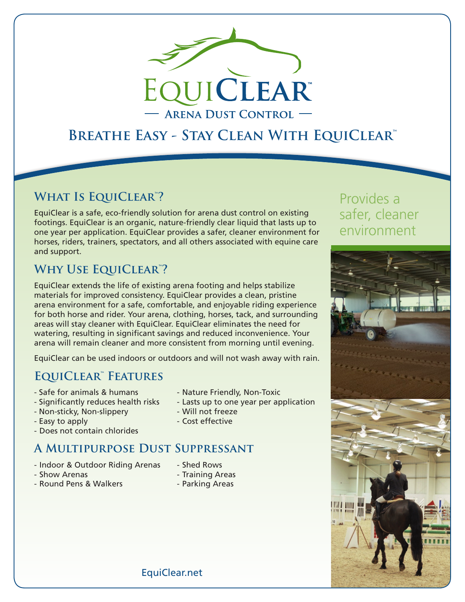

# **Breathe Easy - Stay Clean With EquiClear™**

## **What Is EquiClear™?**

EquiClear is a safe, eco-friendly solution for arena dust control on existing footings. EquiClear is an organic, nature-friendly clear liquid that lasts up to one year per application. EquiClear provides a safer, cleaner environment for horses, riders, trainers, spectators, and all others associated with equine care and support.

## **Why Use EquiClear™?**

EquiClear extends the life of existing arena footing and helps stabilize materials for improved consistency. EquiClear provides a clean, pristine arena environment for a safe, comfortable, and enjoyable riding experience for both horse and rider. Your arena, clothing, horses, tack, and surrounding areas will stay cleaner with EquiClear. EquiClear eliminates the need for watering, resulting in significant savings and reduced inconvenience. Your arena will remain cleaner and more consistent from morning until evening.

EquiClear can be used indoors or outdoors and will not wash away with rain.

## **EquiClear™ Features**

- Safe for animals & humans Nature Friendly, Non-Toxic
- Significantly reduces health risks Lasts up to one year per application
- Non-sticky, Non-slippery  **Will not freeze**
- Easy to apply **Easy** to apply
- Does not contain chlorides

# **A Multipurpose Dust Suppressant**

- Indoor & Outdoor Riding Arenas Shed Rows
- Show Arenas  **Training Areas**
- -
- Round Pens & Walkers Parking Areas
- -

# Provides a safer, cleaner environment



EquiClear.net